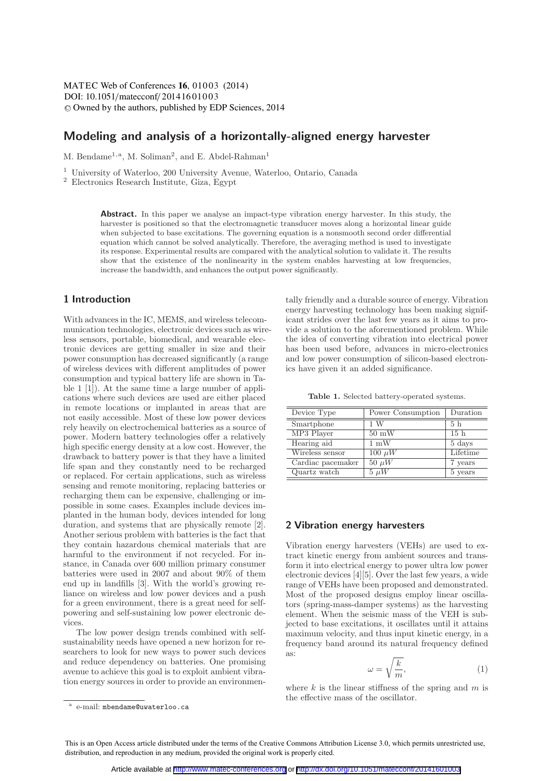DOI: 10.1051/matecconf/20141601003 -<sup>C</sup> Owned by the authors, published by EDP Sciences, 2014 MATEC Web of Conferences **16**, 01003 (2014)

# **Modeling and analysis of a horizontally-aligned energy harvester**

M. Bendame<sup>1,a</sup>, M. Soliman<sup>2</sup>, and E. Abdel-Rahman<sup>1</sup>

 $^1$ University of Waterloo, 200 University Avenue, Waterloo, Ontario, Canada $^2$ Electronics Research Institute, Giza, Egypt

Abstract. In this paper we analyse an impact-type vibration energy harvester. In this study, the harvester is positioned so that the electromagnetic transducer moves along a horizontal linear guide when subjected to base excitations. The governing equation is a nonsmooth second order differential equation which cannot be solved analytically. Therefore, the averaging method is used to investigate its response. Experimental results are compared with the analytical solution to validate it. The results show that the existence of the nonlinearity in the system enables harvesting at low frequencies, increase the bandwidth, and enhances the output power significantly.

## **1 Introduction**

With advances in the IC, MEMS, and wireless telecommunication technologies, electronic devices such as wireless sensors, portable, biomedical, and wearable electronic devices are getting smaller in size and their power consumption has decreased significantly (a range of wireless devices with different amplitudes of power consumption and typical battery life are shown in Table 1 [1]). At the same time a large number of applications where such devices are used are either placed in remote locations or implanted in areas that are not easily accessible. Most of these low power devices rely heavily on electrochemical batteries as a source of power. Modern battery technologies offer a relatively high specific energy density at a low cost. However, the drawback to battery power is that they have a limited life span and they constantly need to be recharged or replaced. For certain applications, such as wireless sensing and remote monitoring, replacing batteries or recharging them can be expensive, challenging or impossible in some cases. Examples include devices implanted in the human body, devices intended for long duration, and systems that are physically remote [2]. Another serious problem with batteries is the fact that they contain hazardous chemical materials that are harmful to the environment if not recycled. For instance, in Canada over 600 million primary consumer batteries were used in 2007 and about 90% of them end up in landfills [3]. With the world's growing reliance on wireless and low power devices and a push for a green environment, there is a great need for selfpowering and self-sustaining low power electronic devices.

The low power design trends combined with selfsustainability needs have opened a new horizon for researchers to look for new ways to power such devices and reduce dependency on batteries. One promising avenue to achieve this goal is to exploit ambient vibration energy sources in order to provide an environmentally friendly and a durable source of energy. Vibration energy harvesting technology has been making significant strides over the last few years as it aims to provide a solution to the aforementioned problem. While the idea of converting vibration into electrical power has been used before, advances in micro-electronics and low power consumption of silicon-based electronics have given it an added significance.

**Table 1.** Selected battery-operated systems.

| Device Type       | Power Consumption | Duration        |
|-------------------|-------------------|-----------------|
| Smartphone        | 1 W               | 5 <sub>h</sub>  |
| MP3 Player        | $50 \text{ mW}$   | 15 <sub>h</sub> |
| Hearing aid       | $1 \text{ mW}$    | 5 days          |
| Wireless sensor   | $100 \mu W$       | Lifetime        |
| Cardiac pacemaker | $50 \mu W$        | 7 years         |
| Quartz watch      | $5 \mu W$         | 5 years         |

## **2 Vibration energy harvesters**

Vibration energy harvesters (VEHs) are used to extract kinetic energy from ambient sources and transform it into electrical energy to power ultra low power electronic devices [4][5]. Over the last few years, a wide range of VEHs have been proposed and demonstrated. Most of the proposed designs employ linear oscillators (spring-mass-damper systems) as the harvesting element. When the seismic mass of the VEH is subjected to base excitations, it oscillates until it attains maximum velocity, and thus input kinetic energy, in a frequency band around its natural frequency defined as:

$$
\omega = \sqrt{\frac{k}{m}},\tag{1}
$$

where k is the linear stiffness of the spring and  $m$  is the effective mass of the oscillator.

<sup>a</sup> e-mail: mbendame@uwaterloo.ca

This is an Open Access article distributed under the terms of the Creative Commons Attribution License 3.0, which permits unrestricted use, distribution, and reproduction in any medium, provided the original work is properly cited.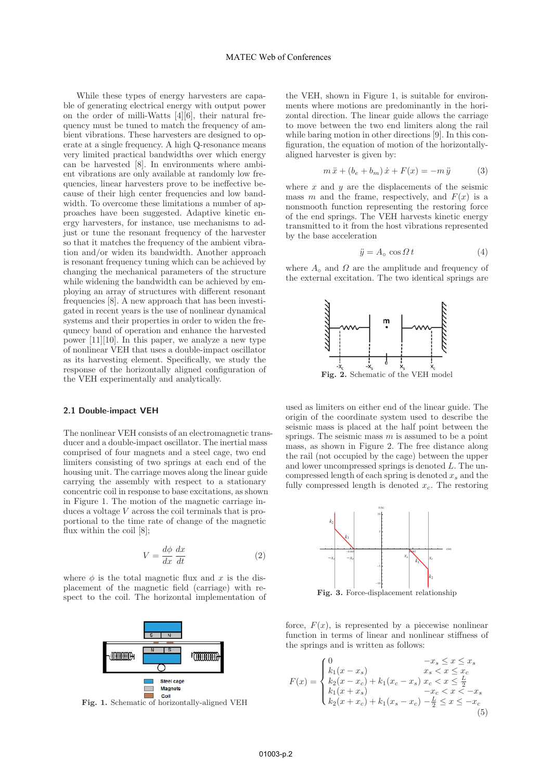While these types of energy harvesters are capable of generating electrical energy with output power on the order of milli-Watts [4][6], their natural frequency must be tuned to match the frequency of ambient vibrations. These harvesters are designed to operate at a single frequency. A high Q-resonance means very limited practical bandwidths over which energy can be harvested [8]. In environments where ambient vibrations are only available at randomly low frequencies, linear harvesters prove to be ineffective because of their high center frequencies and low bandwidth. To overcome these limitations a number of approaches have been suggested. Adaptive kinetic energy harvesters, for instance, use mechanisms to adjust or tune the resonant frequency of the harvester so that it matches the frequency of the ambient vibration and/or widen its bandwidth. Another approach is resonant frequency tuning which can be achieved by changing the mechanical parameters of the structure while widening the bandwidth can be achieved by employing an array of structures with different resonant frequencies [8]. A new approach that has been investigated in recent years is the use of nonlinear dynamical systems and their properties in order to widen the frequnecy band of operation and enhance the harvested power [11][10]. In this paper, we analyze a new type of nonlinear VEH that uses a double-impact oscillator as its harvesting element. Specifically, we study the response of the horizontally aligned configuration of the VEH experimentally and analytically.

## **2.1 Double-impact VEH**

The nonlinear VEH consists of an electromagnetic transducer and a double-impact oscillator. The inertial mass comprised of four magnets and a steel cage, two end limiters consisting of two springs at each end of the housing unit. The carriage moves along the linear guide carrying the assembly with respect to a stationary concentric coil in response to base excitations, as shown in Figure 1. The motion of the magnetic carriage induces a voltage  $V$  across the coil terminals that is proportional to the time rate of change of the magnetic flux within the coil [8];

$$
V = \frac{d\phi}{dx}\frac{dx}{dt} \tag{2}
$$

where  $\phi$  is the total magnetic flux and x is the displacement of the magnetic field (carriage) with respect to the coil. The horizontal implementation of



**Fig. 1.** Schematic of horizontally-aligned VEH

the VEH, shown in Figure 1, is suitable for environments where motions are predominantly in the horizontal direction. The linear guide allows the carriage to move between the two end limiters along the rail while baring motion in other directions [9]. In this configuration, the equation of motion of the horizontallyaligned harvester is given by:

$$
m\ddot{x} + (b_e + b_m)\dot{x} + F(x) = -m\ddot{y}
$$
 (3)

where  $x$  and  $y$  are the displacements of the seismic mass m and the frame, respectively, and  $F(x)$  is a nonsmooth function representing the restoring force of the end springs. The VEH harvests kinetic energy transmitted to it from the host vibrations represented by the base acceleration

$$
\ddot{y} = A_{\circ} \cos \Omega \, t \tag{4}
$$

where  $A_{\alpha}$  and  $\Omega$  are the amplitude and frequency of the external excitation. The two identical springs are



**Fig. 2.** Schematic of the VEH model

used as limiters on either end of the linear guide. The origin of the coordinate system used to describe the seismic mass is placed at the half point between the springs. The seismic mass  $m$  is assumed to be a point mass, as shown in Figure 2. The free distance along the rail (not occupied by the cage) between the upper and lower uncompressed springs is denoted L. The uncompressed length of each spring is denoted  $x_s$  and the fully compressed length is denoted  $x_c$ . The restoring



**Fig. 3.** Force-displacement relationship

force,  $F(x)$ , is represented by a piecewise nonlinear function in terms of linear and nonlinear stiffness of the springs and is written as follows:

$$
F(x) = \begin{cases} 0 & -x_s \le x \le x_s \\ k_1(x - x_s) & x_s < x \le x_c \\ k_2(x - x_c) + k_1(x_c - x_s) & x_c < x \le \frac{L}{2} \\ k_1(x + x_s) & -x_c < x < -x_s \\ k_2(x + x_c) + k_1(x_s - x_c) & -\frac{L}{2} \le x \le -x_c \end{cases}
$$
(5)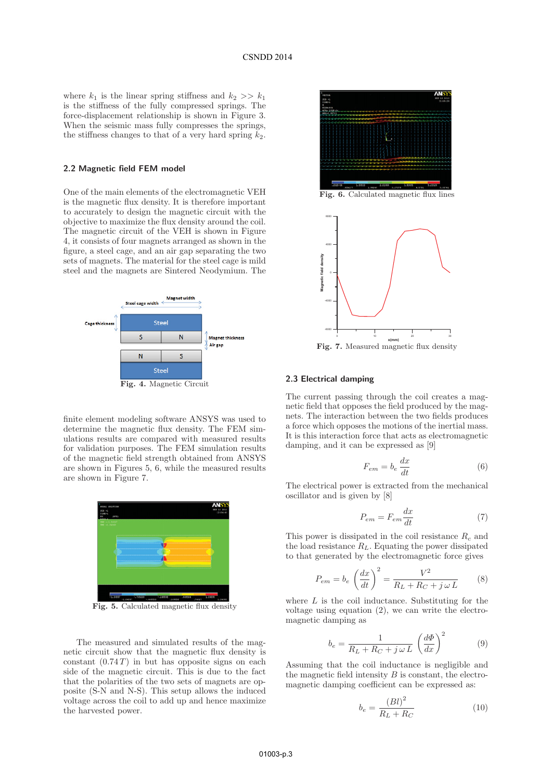where  $k_1$  is the linear spring stiffness and  $k_2 \gg k_1$ is the stiffness of the fully compressed springs. The force-displacement relationship is shown in Figure 3. When the seismic mass fully compresses the springs, the stiffness changes to that of a very hard spring  $k_2$ .

### **2.2 Magnetic field FEM model**

One of the main elements of the electromagnetic VEH is the magnetic flux density. It is therefore important to accurately to design the magnetic circuit with the objective to maximize the flux density around the coil. The magnetic circuit of the VEH is shown in Figure 4, it consists of four magnets arranged as shown in the figure, a steel cage, and an air gap separating the two sets of magnets. The material for the steel cage is mild steel and the magnets are Sintered Neodymium. The



finite element modeling software ANSYS was used to determine the magnetic flux density. The FEM simulations results are compared with measured results for validation purposes. The FEM simulation results of the magnetic field strength obtained from ANSYS are shown in Figures 5, 6, while the measured results are shown in Figure 7.



**Fig. 5.** Calculated magnetic flux density

The measured and simulated results of the magnetic circuit show that the magnetic flux density is constant  $(0.74 T)$  in but has opposite signs on each side of the magnetic circuit. This is due to the fact that the polarities of the two sets of magnets are opposite (S-N and N-S). This setup allows the induced voltage across the coil to add up and hence maximize the harvested power.



**Fig. 6.** Calculated magnetic flux lines



#### **2.3 Electrical damping**

The current passing through the coil creates a magnetic field that opposes the field produced by the magnets. The interaction between the two fields produces a force which opposes the motions of the inertial mass. It is this interaction force that acts as electromagnetic damping, and it can be expressed as [9]

$$
F_{em} = b_e \frac{dx}{dt} \tag{6}
$$

The electrical power is extracted from the mechanical oscillator and is given by [8]

$$
P_{em} = F_{em} \frac{dx}{dt} \tag{7}
$$

This power is dissipated in the coil resistance  $R_c$  and the load resistance  $R_L$ . Equating the power dissipated to that generated by the electromagnetic force gives

$$
P_{em} = b_e \left(\frac{dx}{dt}\right)^2 = \frac{V^2}{R_L + R_C + j\,\omega L} \tag{8}
$$

where  $L$  is the coil inductance. Substituting for the voltage using equation (2), we can write the electromagnetic damping as

$$
b_e = \frac{1}{R_L + R_C + j\,\omega\,L} \left(\frac{d\Phi}{dx}\right)^2 \tag{9}
$$

Assuming that the coil inductance is negligible and the magnetic field intensity  $B$  is constant, the electromagnetic damping coefficient can be expressed as:

$$
b_e = \frac{(Bl)^2}{R_L + R_C} \tag{10}
$$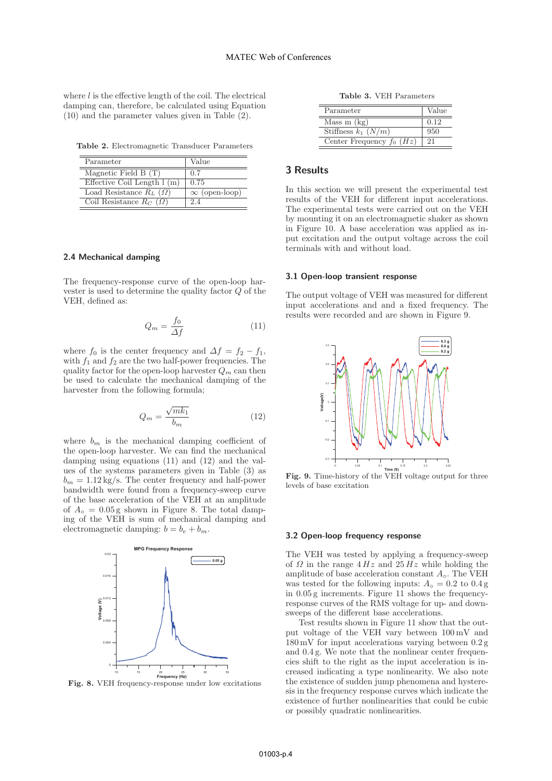where  $l$  is the effective length of the coil. The electrical damping can, therefore, be calculated using Equation (10) and the parameter values given in Table (2).

**Table 2.** Electromagnetic Transducer Parameters

| Parameter                     | Value                |
|-------------------------------|----------------------|
| Magnetic Field $B(T)$         | 0.7                  |
| Effective Coil Length 1 (m)   | 0.75                 |
| Load Resistance $R_L(\Omega)$ | $\infty$ (open-loop) |
| Coil Resistance $R_C(\Omega)$ | 2.4                  |

## **2.4 Mechanical damping**

The frequency-response curve of the open-loop harvester is used to determine the quality factor Q of the VEH, defined as:

$$
Q_m = \frac{f_0}{\Delta f} \tag{11}
$$

where  $f_0$  is the center frequency and  $\Delta f = f_2 - f_1$ , with  $f_1$  and  $f_2$  are the two half-power frequencies. The quality factor for the open-loop harvester  $Q_m$  can then be used to calculate the mechanical damping of the harvester from the following formula;

$$
Q_m = \frac{\sqrt{mk_1}}{b_m} \tag{12}
$$

where  $b_m$  is the mechanical damping coefficient of the open-loop harvester. We can find the mechanical damping using equations (11) and (12) and the values of the systems parameters given in Table (3) as  $b_m = 1.12 \text{ kg/s}$ . The center frequency and half-power bandwidth were found from a frequency-sweep curve of the base acceleration of the VEH at an amplitude of  $A_{\circ} = 0.05$  g shown in Figure 8. The total damping of the VEH is sum of mechanical damping and electromagnetic damping:  $b = b_e + b_m$ .



**Fig. 8.** VEH frequency-response under low excitations

**Table 3.** VEH Parameters

| Parameter                            | Value |
|--------------------------------------|-------|
| Mass $m$ (kg)                        | 0.12  |
| Stiffness $k_1$ $(N/m)$              | 950   |
| Center Frequency $f_0$ ( <i>Hz</i> ) | 21    |

### **3 Results**

In this section we will present the experimental test results of the VEH for different input accelerations. The experimental tests were carried out on the VEH by mounting it on an electromagnetic shaker as shown in Figure 10. A base acceleration was applied as input excitation and the output voltage across the coil terminals with and without load.

#### **3.1 Open-loop transient response**

The output voltage of VEH was measured for different input accelerations and and a fixed frequency. The results were recorded and are shown in Figure 9.



**Fig. 9.** Time-history of the VEH voltage output for three<br>levels of base excitation levels of base excitation

### **3.2 Open-loop frequency response**

The VEH was tested by applying a frequency-sweep of  $\Omega$  in the range  $4 Hz$  and  $25 Hz$  while holding the amplitude of base acceleration constant  $A_0$ . The VEH was tested for the following inputs:  $A_0 = 0.2$  to  $0.4$  g in 0.05 g increments. Figure 11 shows the frequencyresponse curves of the RMS voltage for up- and downsweeps of the different base accelerations.

Test results shown in Figure 11 show that the output voltage of the VEH vary between 100 mV and 180 mV for input accelerations varying between 0.2 g and 0.4 g. We note that the nonlinear center frequencies shift to the right as the input acceleration is increased indicating a type nonlinearity. We also note the existence of sudden jump phenomena and hysteresis in the frequency response curves which indicate the existence of further nonlinearities that could be cubic or possibly quadratic nonlinearities.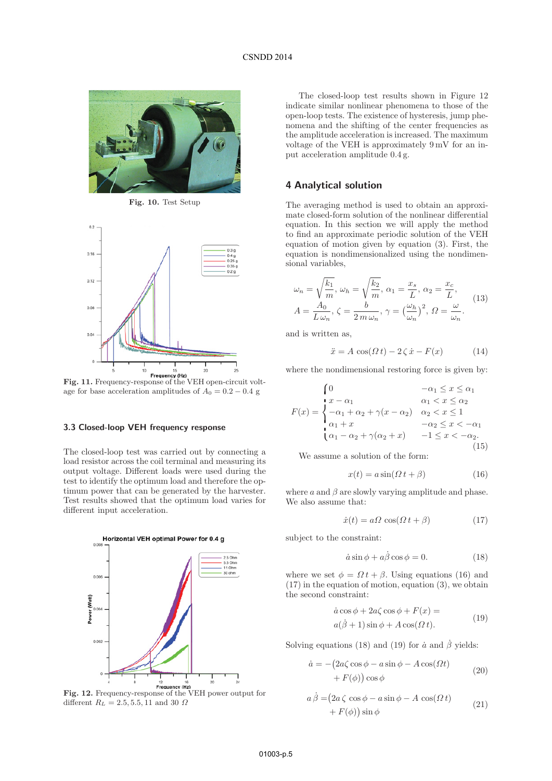

**Fig. 10.** Test Setup



**Fig. 11.** Frequency-response of the VEH open-circuit voltage for base acceleration amplitudes of  $A_0 = 0.2 - 0.4$  g

#### **3.3 Closed-loop VEH frequency response**

The closed-loop test was carried out by connecting a load resistor across the coil terminal and measuring its output voltage. Different loads were used during the test to identify the optimum load and therefore the optimum power that can be generated by the harvester. Test results showed that the optimum load varies for different input acceleration.



different  $R_L = 2.5, 5.5, 11$  and 30  $\Omega$ 

The closed-loop test results shown in Figure 12 indicate similar nonlinear phenomena to those of the open-loop tests. The existence of hysteresis, jump phenomena and the shifting of the center frequencies as the amplitude acceleration is increased. The maximum voltage of the VEH is approximately 9 mV for an input acceleration amplitude 0.4 g.

## **4 Analytical solution**

The averaging method is used to obtain an approximate closed-form solution of the nonlinear differential equation. In this section we will apply the method to find an approximate periodic solution of the VEH equation of motion given by equation (3). First, the equation is nondimensionalized using the nondimensional variables,

$$
\omega_n = \sqrt{\frac{k_1}{m}}, \ \omega_h = \sqrt{\frac{k_2}{m}}, \ \alpha_1 = \frac{x_s}{L}, \ \alpha_2 = \frac{x_c}{L},
$$

$$
A = \frac{A_0}{L \omega_n}, \ \zeta = \frac{b}{2m \omega_n}, \ \gamma = \left(\frac{\omega_h}{\omega_n}\right)^2, \ \Omega = \frac{\omega}{\omega_n}.
$$
 (13)

and is written as,

$$
\ddot{x} = A\cos(\Omega t) - 2\zeta \dot{x} - F(x) \tag{14}
$$

where the nondimensional restoring force is given by:

$$
F(x) = \begin{cases} 0 & -\alpha_1 \le x \le \alpha_1 \\ x - \alpha_1 & \alpha_1 < x \le \alpha_2 \\ -\alpha_1 + \alpha_2 + \gamma(x - \alpha_2) & \alpha_2 < x \le 1 \\ \alpha_1 + x & -\alpha_2 \le x < -\alpha_1 \\ \alpha_1 - \alpha_2 + \gamma(\alpha_2 + x) & -1 \le x < -\alpha_2. \end{cases}
$$
(15)

We assume a solution of the form:

$$
x(t) = a\sin(\Omega t + \beta) \tag{16}
$$

where  $a$  and  $\beta$  are slowly varying amplitude and phase. We also assume that:

$$
\dot{x}(t) = a\Omega \cos(\Omega t + \beta) \tag{17}
$$

subject to the constraint:

$$
\dot{a}\sin\phi + a\dot{\beta}\cos\phi = 0.
$$
 (18)

where we set  $\phi = \Omega t + \beta$ . Using equations (16) and (17) in the equation of motion, equation (3), we obtain the second constraint:

$$
\begin{aligned}\n\dot{a}\cos\phi + 2a\zeta\cos\phi + F(x) &= \\
a(\dot{\beta} + 1)\sin\phi + A\cos(\Omega t).\n\end{aligned} \tag{19}
$$

Solving equations (18) and (19) for  $\dot{a}$  and  $\dot{\beta}$  yields:

$$
\dot{a} = -\left(2a\zeta\cos\phi - a\sin\phi - A\cos(\Omega t)\right) + F(\phi)\right)\cos\phi
$$
\n(20)

$$
a \dot{\beta} = (2a \zeta \cos \phi - a \sin \phi - A \cos(\Omega t) + F(\phi)) \sin \phi
$$
 (21)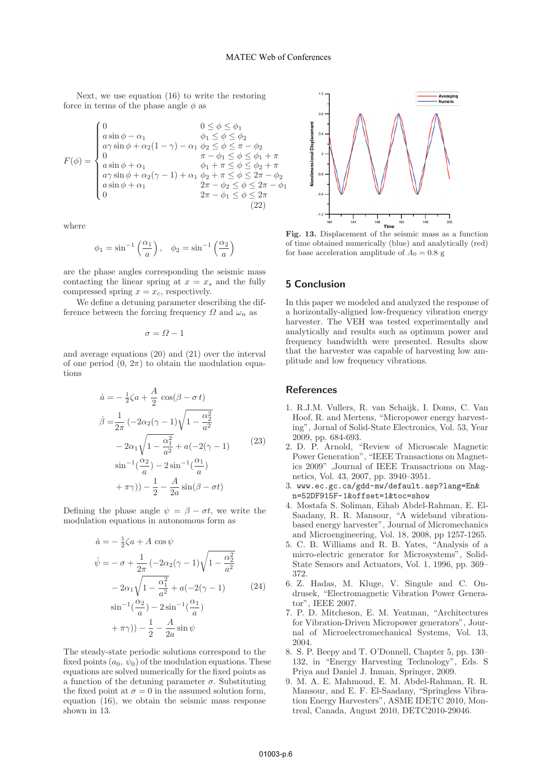Next, we use equation (16) to write the restoring force in terms of the phase angle  $\phi$  as

$$
F(\phi) = \begin{cases} 0 & 0 \le \phi \le \phi_1 \\ a \sin \phi - \alpha_1 & \phi_1 \le \phi \le \phi_2 \\ a\gamma \sin \phi + \alpha_2 (1 - \gamma) - \alpha_1 \phi_2 \le \phi \le \pi - \phi_2 \\ 0 & \pi - \phi_1 \le \phi \le \phi_1 + \pi \\ a \sin \phi + \alpha_1 & \phi_1 + \pi \le \phi \le \phi_2 + \pi \\ a\gamma \sin \phi + \alpha_2 (\gamma - 1) + \alpha_1 \phi_2 + \pi \le \phi \le 2\pi - \phi_2 \\ a \sin \phi + \alpha_1 & 2\pi - \phi_2 \le \phi \le 2\pi - \phi_1 \\ 0 & 2\pi - \phi_1 \le \phi \le 2\pi \end{cases}
$$
(22)

where

$$
\phi_1 = \sin^{-1}\left(\frac{\alpha_1}{a}\right), \quad \phi_2 = \sin^{-1}\left(\frac{\alpha_2}{a}\right)
$$

are the phase angles corresponding the seismic mass contacting the linear spring at  $x = x_s$  and the fully compressed spring  $x = x_c$ , respectively.

We define a detuning parameter describing the difference between the forcing frequency  $\Omega$  and  $\omega_n$  as

$$
\sigma = \Omega - 1
$$

and average equations (20) and (21) over the interval of one period  $(0, 2\pi)$  to obtain the modulation equations

$$
\begin{aligned}\n\dot{a} &= -\frac{1}{2}\zeta a + \frac{A}{2}\cos(\beta - \sigma t) \\
\dot{\beta} &= \frac{1}{2\pi}(-2\alpha_2(\gamma - 1)\sqrt{1 - \frac{\alpha_2^2}{a^2}} \\
&-2\alpha_1\sqrt{1 - \frac{\alpha_1^2}{a^2}} + a(-2(\gamma - 1))\n\end{aligned} \tag{23}
$$
\n
$$
\sin^{-1}(\frac{\alpha_2}{a}) - 2\sin^{-1}(\frac{\alpha_1}{a}) \\
&+ \pi\gamma)) - \frac{1}{2} - \frac{A}{2a}\sin(\beta - \sigma t)
$$

Defining the phase angle  $\psi = \beta - \sigma t$ , we write the modulation equations in autonomous form as

$$
\dot{a} = -\frac{1}{2}\zeta a + A\cos\psi
$$
  
\n
$$
\dot{\psi} = -\sigma + \frac{1}{2\pi}(-2\alpha_2(\gamma - 1)\sqrt{1 - \frac{\alpha_2^2}{a^2}}
$$
  
\n
$$
-2\alpha_1\sqrt{1 - \frac{\alpha_1^2}{a^2}} + a(-2(\gamma - 1))
$$
  
\n
$$
\sin^{-1}(\frac{\alpha_2}{a}) - 2\sin^{-1}(\frac{\alpha_1}{a})
$$
  
\n
$$
+ \pi\gamma)) - \frac{1}{2} - \frac{A}{2a}\sin\psi
$$
\n(24)

The steady-state periodic solutions correspond to the fixed points  $(a_0, \psi_0)$  of the modulation equations. These equations are solved numerically for the fixed points as a function of the detuning parameter  $\sigma$ . Substituting the fixed point at  $\sigma = 0$  in the assumed solution form, equation (16), we obtain the seismic mass response shown in 13.



**Fig. 13.** Displacement of the seismic mass as a function of time obtained numerically (blue) and analytically (red) for base acceleration amplitude of  $A_0 = 0.8$  g

## **5 Conclusion**

In this paper we modeled and analyzed the response of a horizontally-aligned low-frequency vibration energy harvester. The VEH was tested experimentally and analytically and results such as optimum power and frequency bandwidth were presented. Results show that the harvester was capable of harvesting low amplitude and low frequency vibrations.

## **References**

- 1. R.J.M. Vullers, R. van Schaijk, I. Doms, C. Van Hoof, R. and Mertens, "Micropower energy harvesting", Jornal of Solid-State Electronics, Vol. 53, Year 2009, pp. 684-693.
- 2. D. P. Arnold, "Review of Microscale Magnetic Power Generation", "IEEE Transactions on Magnetics 2009" ,Journal of IEEE Transactrions on Magnetics, Vol. 43, 2007, pp. 3940–3951.
- 3. www.ec.gc.ca/gdd-mw/default.asp?lang=En& n=52DF915F-1&offset=1&toc=show
- 4. Mostafa S. Soliman, Eihab Abdel-Rahman, E. El-Saadany, R. R. Mansour, "A wideband vibrationbased energy harvester", Journal of Micromechanics and Microengineering, Vol. 18, 2008, pp 1257-1265.
- 5. C. B. Williams and R. B. Yates, "Analysis of a micro-electric generator for Microsystems", Solid-State Sensors and Actuators, Vol. 1, 1996, pp. 369– 372.
- 6. Z. Hadas, M. Kluge, V. Singule and C. Ondrusek, "Electromagnetic Vibration Power Generator", IEEE 2007.
- 7. P. D. Mitcheson, E. M. Yeatman, "Architectures for Vibration-Driven Micropower generators", Journal of Microelectromechanical Systems, Vol. 13, 2004.
- 8. S. P. Beepy and T. O'Donnell, Chapter 5, pp. 130– 132, in "Energy Harvesting Technology", Eds. S Priya and Daniel J. Inman, Springer, 2009.
- 9. M. A. E. Mahmoud, E. M. Abdel-Rahman, R. R. Mansour, and E. F. El-Saadany, "Springless Vibration Energy Harvesters", ASME IDETC 2010, Montreal, Canada, August 2010, DETC2010-29046.